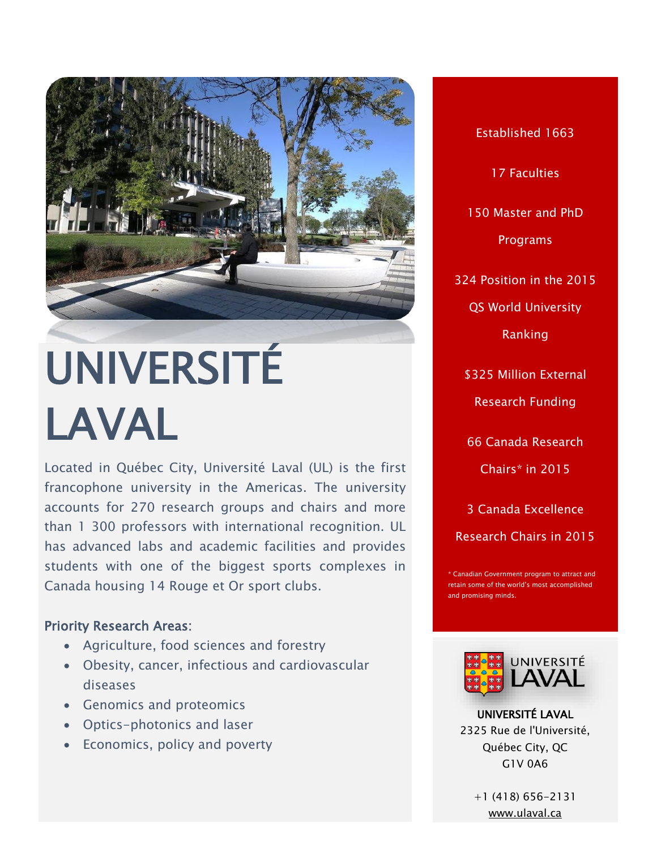

# UNIVERSITÉ LAVAL

Located in Québec City, Université Laval (UL) is the first francophone university in the Americas. The university accounts for 270 research groups and chairs and more than 1 300 professors with international recognition. UL has advanced labs and academic facilities and provides students with one of the biggest sports complexes in Canada housing 14 Rouge et Or sport clubs.

## Priority Research Areas:

- Agriculture, food sciences and forestry
- Obesity, cancer, infectious and cardiovascular diseases
- Genomics and proteomics
- Optics-photonics and laser
- Economics, policy and poverty

Established 1663 17 Faculties 150 Master and PhD Programs 324 Position in the 2015 QS World University Ranking \$325 Million External Research Funding 66 Canada Research Chairs\* in 2015

3 Canada Excellence Research Chairs in 2015

\* Canadian Government program to attract and retain some of the world's most accomplished and promising minds.



UNIVERSITÉ LAVAL 2325 Rue de l'Université, Québec City, QC G1V 0A6

+1 (418) 656-2131 [www.ulaval.ca](file:///C:/Users/Paulo%20Carvalho/Desktop/CALDO%20BROCHURE/www.ulaval.ca)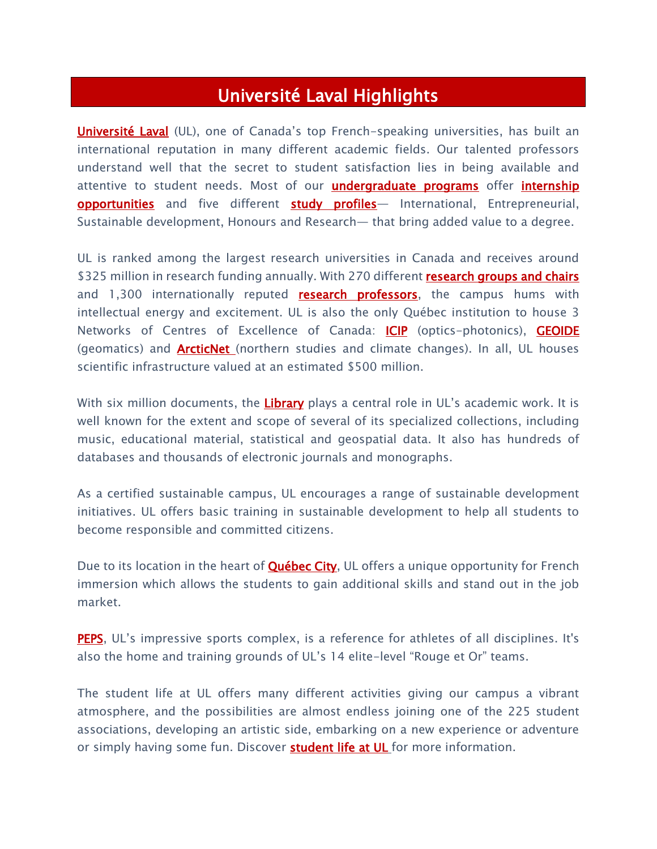# Université Laval Highlights

[Université Laval](https://www2.ulaval.ca/accueil.html) (UL), one of Canada's top French-speaking universities, has built an international reputation in many different academic fields. Our talented professors understand well that the secret to student satisfaction lies in being available and attentive to student needs. Most of our **[undergraduate programs](https://www2.ulaval.ca/en/future-students/undergraduate-programs.html)** offer *internship* [opportunities](https://www2.ulaval.ca/en/future-students/why-choose-ul/internships-and-hands-on-training.html) and five different [study profiles](https://www2.ulaval.ca/en/future-students/why-choose-ul/study-profiles.html) - International, Entrepreneurial, Sustainable development, Honours and Research— that bring added value to a degree.

UL is ranked among the largest research universities in Canada and receives around \$325 million in research funding annually. With 270 different **research groups and chairs** and 1,300 internationally reputed **research professors**, the campus hums with intellectual energy and excitement. UL is also the only Québec institution to house 3 Networks of Centres of Excellence of Canada: [ICIP](http://www.cipi.ulaval.ca/nc/fr/accueil/) (optics-photonics), [GEOIDE](http://www.scg.ulaval.ca/page.php?nom=reseau) (geomatics) and [ArcticNet](http://www.arcticnet.ulaval.ca/) (northern studies and climate changes). In all, UL houses scientific infrastructure valued at an estimated \$500 million.

With six million documents, the [Library](http://www.bibl.ulaval.ca/) plays a central role in UL's academic work. It is well known for the extent and scope of several of its specialized collections, including music, educational material, statistical and geospatial data. It also has hundreds of databases and thousands of electronic journals and monographs.

As a certified sustainable campus, UL encourages a range of sustainable development initiatives. UL offers basic training in sustainable development to help all students to become responsible and committed citizens.

Due to its location in the heart of **Québec City**, UL offers a unique opportunity for French immersion which allows the students to gain additional skills and stand out in the job market.

[PEPS](https://www2.ulaval.ca/en/future-students/campus-environment-housing-transportation/sports.html), UL's impressive sports complex, is a reference for athletes of all disciplines. It's also the home and training grounds of UL's 14 elite-level "Rouge et Or" teams.

The student life at UL offers many different activities giving our campus a vibrant atmosphere, and the possibilities are almost endless joining one of the 225 student associations, developing an artistic side, embarking on a new experience or adventure or simply having some fun. Discover **student life at UL** for more information.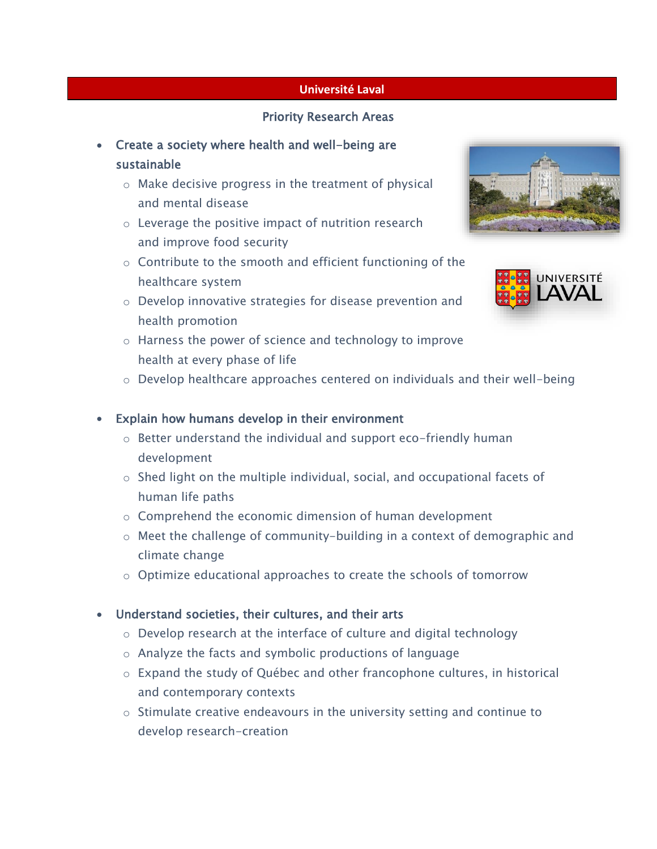#### **Université Laval**

#### Priority Research Areas

- Create a society where health and well-being are sustainable
	- o Make decisive progress in the treatment of physical and mental disease
	- o Leverage the positive impact of nutrition research and improve food security
	- o Contribute to the smooth and efficient functioning of the healthcare system
	- o Develop innovative strategies for disease prevention and health promotion
	- o Harness the power of science and technology to improve health at every phase of life
	- $\circ$  Develop healthcare approaches centered on individuals and their well-being

#### Explain how humans develop in their environment

- o Better understand the individual and support eco-friendly human development
- o Shed light on the multiple individual, social, and occupational facets of human life paths
- o Comprehend the economic dimension of human development
- o Meet the challenge of community-building in a context of demographic and climate change
- $\circ$  Optimize educational approaches to create the schools of tomorrow

## Understand societies, their cultures, and their arts

- o Develop research at the interface of culture and digital technology
- o Analyze the facts and symbolic productions of language
- o Expand the study of Québec and other francophone cultures, in historical and contemporary contexts
- o Stimulate creative endeavours in the university setting and continue to develop research-creation



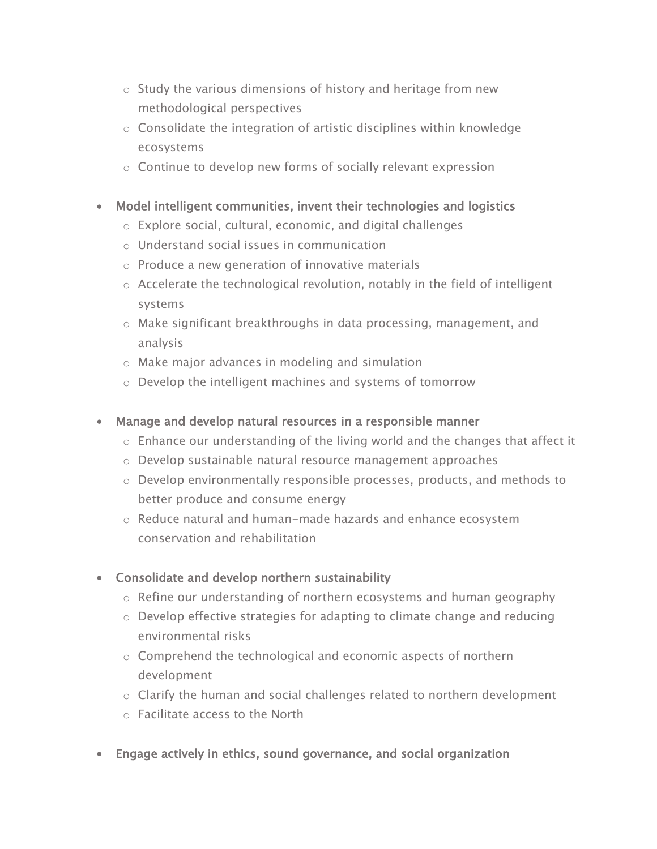- o Study the various dimensions of history and heritage from new methodological perspectives
- o Consolidate the integration of artistic disciplines within knowledge ecosystems
- o Continue to develop new forms of socially relevant expression
- Model intelligent communities, invent their technologies and logistics
	- o Explore social, cultural, economic, and digital challenges
	- o Understand social issues in communication
	- $\circ$  Produce a new generation of innovative materials
	- $\circ$  Accelerate the technological revolution, notably in the field of intelligent systems
	- o Make significant breakthroughs in data processing, management, and analysis
	- o Make major advances in modeling and simulation
	- o Develop the intelligent machines and systems of tomorrow
- Manage and develop natural resources in a responsible manner
	- o Enhance our understanding of the living world and the changes that affect it
	- o Develop sustainable natural resource management approaches
	- o Develop environmentally responsible processes, products, and methods to better produce and consume energy
	- o Reduce natural and human-made hazards and enhance ecosystem conservation and rehabilitation
- Consolidate and develop northern sustainability
	- $\circ$  Refine our understanding of northern ecosystems and human geography
	- o Develop effective strategies for adapting to climate change and reducing environmental risks
	- o Comprehend the technological and economic aspects of northern development
	- o Clarify the human and social challenges related to northern development
	- o Facilitate access to the North
- Engage actively in ethics, sound governance, and social organization